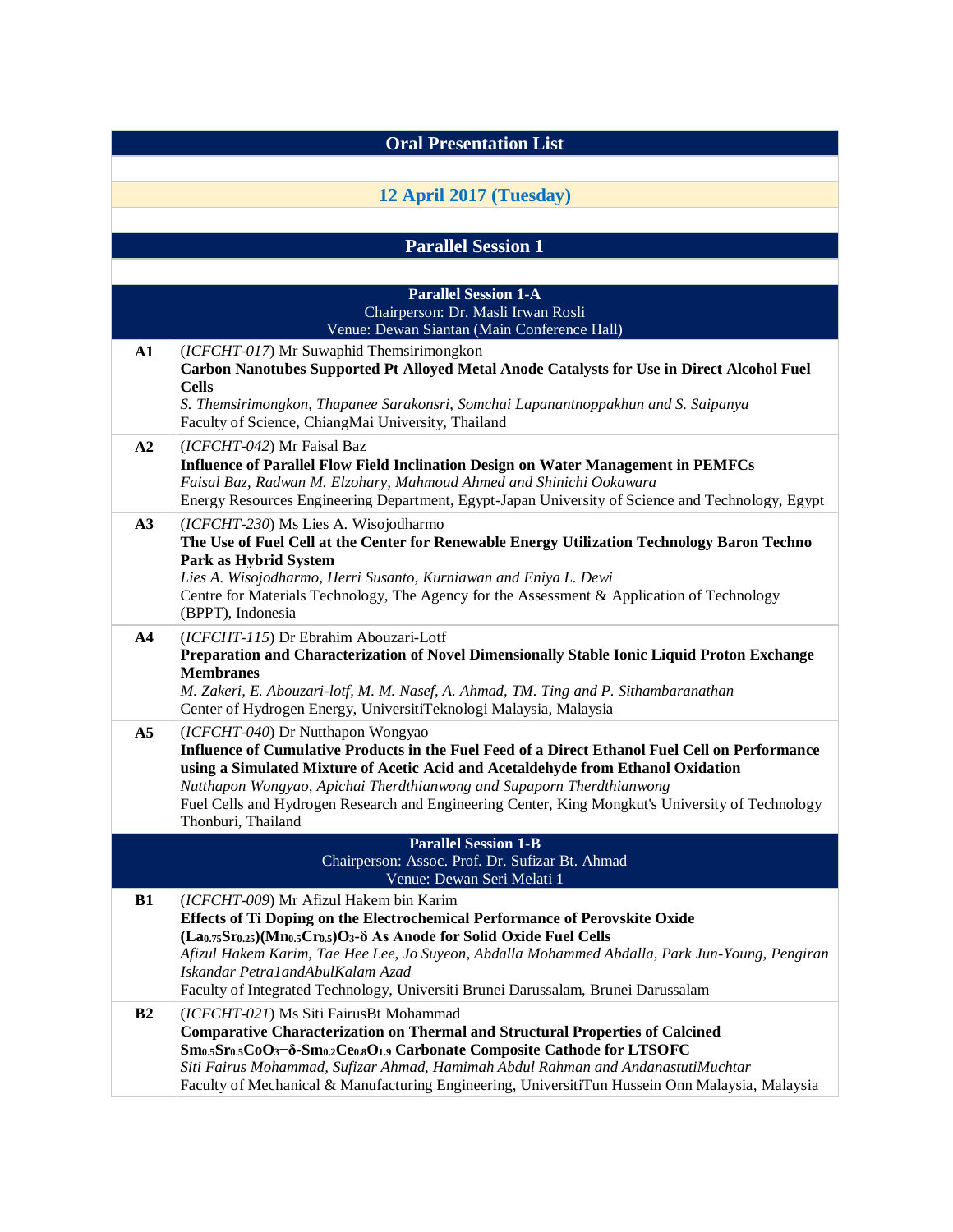| <b>Oral Presentation List</b>                                                                                |                                                                                                                                                                                                                                                                                                                                                                                                                                                                              |
|--------------------------------------------------------------------------------------------------------------|------------------------------------------------------------------------------------------------------------------------------------------------------------------------------------------------------------------------------------------------------------------------------------------------------------------------------------------------------------------------------------------------------------------------------------------------------------------------------|
|                                                                                                              |                                                                                                                                                                                                                                                                                                                                                                                                                                                                              |
|                                                                                                              | 12 April 2017 (Tuesday)                                                                                                                                                                                                                                                                                                                                                                                                                                                      |
|                                                                                                              |                                                                                                                                                                                                                                                                                                                                                                                                                                                                              |
|                                                                                                              | <b>Parallel Session 1</b>                                                                                                                                                                                                                                                                                                                                                                                                                                                    |
|                                                                                                              | <b>Parallel Session 1-A</b>                                                                                                                                                                                                                                                                                                                                                                                                                                                  |
|                                                                                                              | Chairperson: Dr. Masli Irwan Rosli<br>Venue: Dewan Siantan (Main Conference Hall)                                                                                                                                                                                                                                                                                                                                                                                            |
| ${\bf A1}$                                                                                                   | (ICFCHT-017) Mr Suwaphid Themsirimongkon<br>Carbon Nanotubes Supported Pt Alloyed Metal Anode Catalysts for Use in Direct Alcohol Fuel<br><b>Cells</b><br>S. Themsirimongkon, Thapanee Sarakonsri, Somchai Lapanantnoppakhun and S. Saipanya                                                                                                                                                                                                                                 |
|                                                                                                              | Faculty of Science, ChiangMai University, Thailand                                                                                                                                                                                                                                                                                                                                                                                                                           |
| A2                                                                                                           | (ICFCHT-042) Mr Faisal Baz<br>Influence of Parallel Flow Field Inclination Design on Water Management in PEMFCs<br>Faisal Baz, Radwan M. Elzohary, Mahmoud Ahmed and Shinichi Ookawara<br>Energy Resources Engineering Department, Egypt-Japan University of Science and Technology, Egypt                                                                                                                                                                                   |
| A3                                                                                                           | (ICFCHT-230) Ms Lies A. Wisojodharmo<br>The Use of Fuel Cell at the Center for Renewable Energy Utilization Technology Baron Techno<br>Park as Hybrid System<br>Lies A. Wisojodharmo, Herri Susanto, Kurniawan and Eniya L. Dewi<br>Centre for Materials Technology, The Agency for the Assessment & Application of Technology<br>(BPPT), Indonesia                                                                                                                          |
| A <sub>4</sub>                                                                                               | (ICFCHT-115) Dr Ebrahim Abouzari-Lotf<br>Preparation and Characterization of Novel Dimensionally Stable Ionic Liquid Proton Exchange<br><b>Membranes</b><br>M. Zakeri, E. Abouzari-lotf, M. M. Nasef, A. Ahmad, TM. Ting and P. Sithambaranathan<br>Center of Hydrogen Energy, UniversitiTeknologi Malaysia, Malaysia                                                                                                                                                        |
| A <sub>5</sub>                                                                                               | (ICFCHT-040) Dr Nutthapon Wongyao<br>Influence of Cumulative Products in the Fuel Feed of a Direct Ethanol Fuel Cell on Performance<br>using a Simulated Mixture of Acetic Acid and Acetaldehyde from Ethanol Oxidation<br>Nutthapon Wongyao, Apichai Therdthianwong and Supaporn Therdthianwong<br>Fuel Cells and Hydrogen Research and Engineering Center, King Mongkut's University of Technology<br>Thonburi, Thailand                                                   |
| <b>Parallel Session 1-B</b><br>Chairperson: Assoc. Prof. Dr. Sufizar Bt. Ahmad<br>Venue: Dewan Seri Melati 1 |                                                                                                                                                                                                                                                                                                                                                                                                                                                                              |
| B1                                                                                                           | (ICFCHT-009) Mr Afizul Hakem bin Karim<br>Effects of Ti Doping on the Electrochemical Performance of Perovskite Oxide<br>$(La_{0.75}Sr_{0.25})(Mn_{0.5}Cr_{0.5})O_3$ - $\delta$ As Anode for Solid Oxide Fuel Cells<br>Afizul Hakem Karim, Tae Hee Lee, Jo Suyeon, Abdalla Mohammed Abdalla, Park Jun-Young, Pengiran<br>Iskandar Petra1andAbulKalam Azad<br>Faculty of Integrated Technology, Universiti Brunei Darussalam, Brunei Darussalam                               |
| B <sub>2</sub>                                                                                               | (ICFCHT-021) Ms Siti FairusBt Mohammad<br><b>Comparative Characterization on Thermal and Structural Properties of Calcined</b><br>Sm <sub>0.5</sub> Sr <sub>0.5</sub> CoO <sub>3</sub> -δ-Sm <sub>0.2</sub> Ce <sub>0.8</sub> O <sub>1.9</sub> Carbonate Composite Cathode for LTSOFC<br>Siti Fairus Mohammad, Sufizar Ahmad, Hamimah Abdul Rahman and AndanastutiMuchtar<br>Faculty of Mechanical & Manufacturing Engineering, UniversitiTun Hussein Onn Malaysia, Malaysia |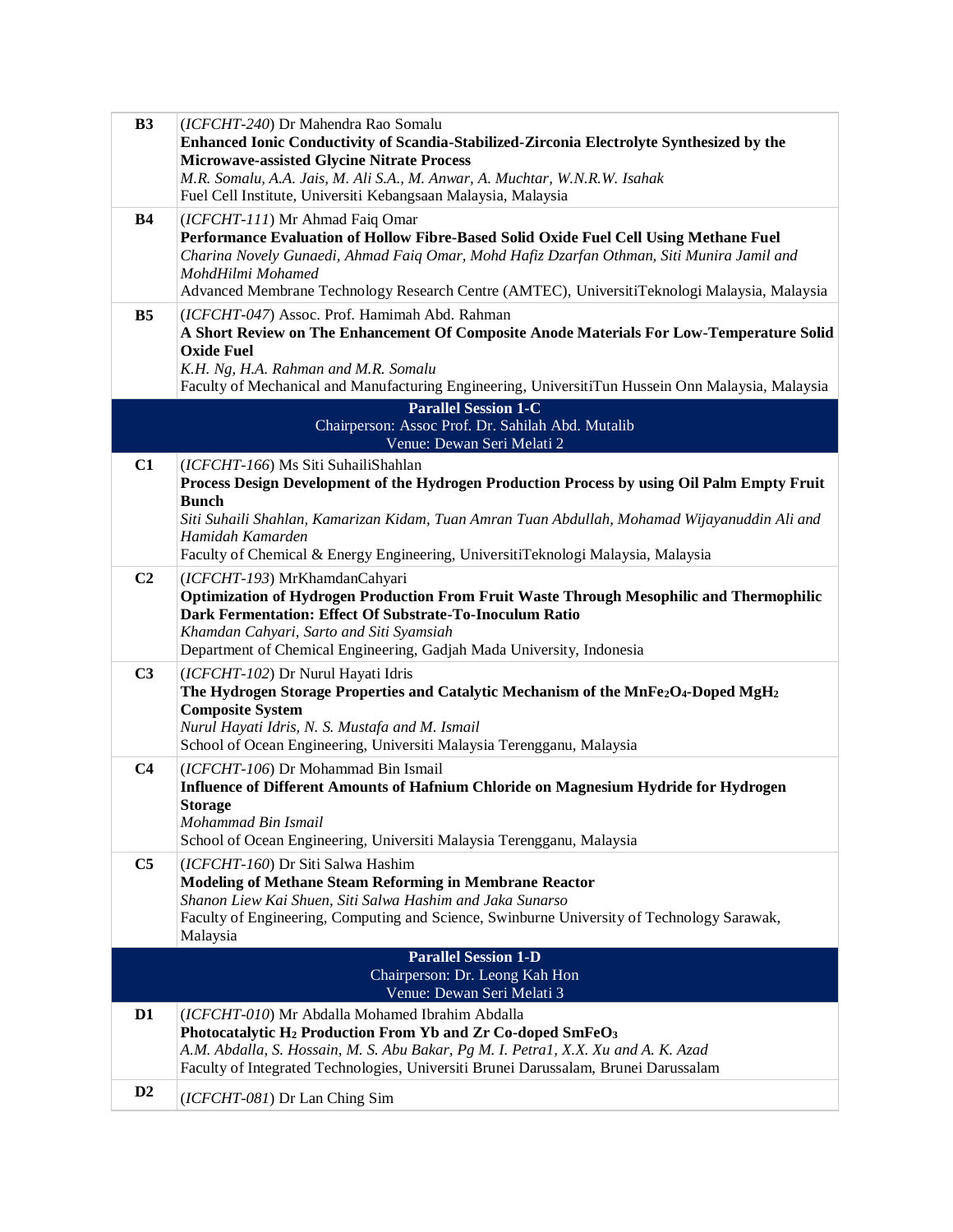| B3             | (ICFCHT-240) Dr Mahendra Rao Somalu<br>Enhanced Ionic Conductivity of Scandia-Stabilized-Zirconia Electrolyte Synthesized by the<br><b>Microwave-assisted Glycine Nitrate Process</b><br>M.R. Somalu, A.A. Jais, M. Ali S.A., M. Anwar, A. Muchtar, W.N.R.W. Isahak<br>Fuel Cell Institute, Universiti Kebangsaan Malaysia, Malaysia                        |  |
|----------------|-------------------------------------------------------------------------------------------------------------------------------------------------------------------------------------------------------------------------------------------------------------------------------------------------------------------------------------------------------------|--|
| <b>B4</b>      | (ICFCHT-111) Mr Ahmad Faiq Omar<br>Performance Evaluation of Hollow Fibre-Based Solid Oxide Fuel Cell Using Methane Fuel<br>Charina Novely Gunaedi, Ahmad Faiq Omar, Mohd Hafiz Dzarfan Othman, Siti Munira Jamil and<br>MohdHilmi Mohamed<br>Advanced Membrane Technology Research Centre (AMTEC), UniversitiTeknologi Malaysia, Malaysia                  |  |
| B <sub>5</sub> | (ICFCHT-047) Assoc. Prof. Hamimah Abd. Rahman<br>A Short Review on The Enhancement Of Composite Anode Materials For Low-Temperature Solid<br><b>Oxide Fuel</b><br>K.H. Ng, H.A. Rahman and M.R. Somalu<br>Faculty of Mechanical and Manufacturing Engineering, UniversitiTun Hussein Onn Malaysia, Malaysia                                                 |  |
|                | <b>Parallel Session 1-C</b><br>Chairperson: Assoc Prof. Dr. Sahilah Abd. Mutalib<br>Venue: Dewan Seri Melati 2                                                                                                                                                                                                                                              |  |
| C1             | (ICFCHT-166) Ms Siti SuhailiShahlan<br>Process Design Development of the Hydrogen Production Process by using Oil Palm Empty Fruit<br><b>Bunch</b><br>Siti Suhaili Shahlan, Kamarizan Kidam, Tuan Amran Tuan Abdullah, Mohamad Wijayanuddin Ali and<br>Hamidah Kamarden<br>Faculty of Chemical & Energy Engineering, UniversitiTeknologi Malaysia, Malaysia |  |
| C <sub>2</sub> | (ICFCHT-193) MrKhamdanCahyari<br>Optimization of Hydrogen Production From Fruit Waste Through Mesophilic and Thermophilic<br>Dark Fermentation: Effect Of Substrate-To-Inoculum Ratio<br>Khamdan Cahyari, Sarto and Siti Syamsiah<br>Department of Chemical Engineering, Gadjah Mada University, Indonesia                                                  |  |
| C <sub>3</sub> | (ICFCHT-102) Dr Nurul Hayati Idris<br>The Hydrogen Storage Properties and Catalytic Mechanism of the MnFe <sub>2</sub> O <sub>4</sub> -Doped MgH <sub>2</sub><br><b>Composite System</b><br>Nurul Hayati Idris, N. S. Mustafa and M. Ismail<br>School of Ocean Engineering, Universiti Malaysia Terengganu, Malaysia                                        |  |
| C <sub>4</sub> | (ICFCHT-106) Dr Mohammad Bin Ismail<br>Influence of Different Amounts of Hafnium Chloride on Magnesium Hydride for Hydrogen<br><b>Storage</b><br>Mohammad Bin Ismail<br>School of Ocean Engineering, Universiti Malaysia Terengganu, Malaysia                                                                                                               |  |
| C <sub>5</sub> | (ICFCHT-160) Dr Siti Salwa Hashim<br>Modeling of Methane Steam Reforming in Membrane Reactor<br>Shanon Liew Kai Shuen, Siti Salwa Hashim and Jaka Sunarso<br>Faculty of Engineering, Computing and Science, Swinburne University of Technology Sarawak,<br>Malaysia                                                                                         |  |
|                | <b>Parallel Session 1-D</b><br>Chairperson: Dr. Leong Kah Hon<br>Venue: Dewan Seri Melati 3                                                                                                                                                                                                                                                                 |  |
| D <sub>1</sub> | (ICFCHT-010) Mr Abdalla Mohamed Ibrahim Abdalla<br>Photocatalytic H <sub>2</sub> Production From Yb and Zr Co-doped SmFeO <sub>3</sub><br>A.M. Abdalla, S. Hossain, M. S. Abu Bakar, Pg M. I. Petra1, X.X. Xu and A. K. Azad<br>Faculty of Integrated Technologies, Universiti Brunei Darussalam, Brunei Darussalam                                         |  |
| D2             | (ICFCHT-081) Dr Lan Ching Sim                                                                                                                                                                                                                                                                                                                               |  |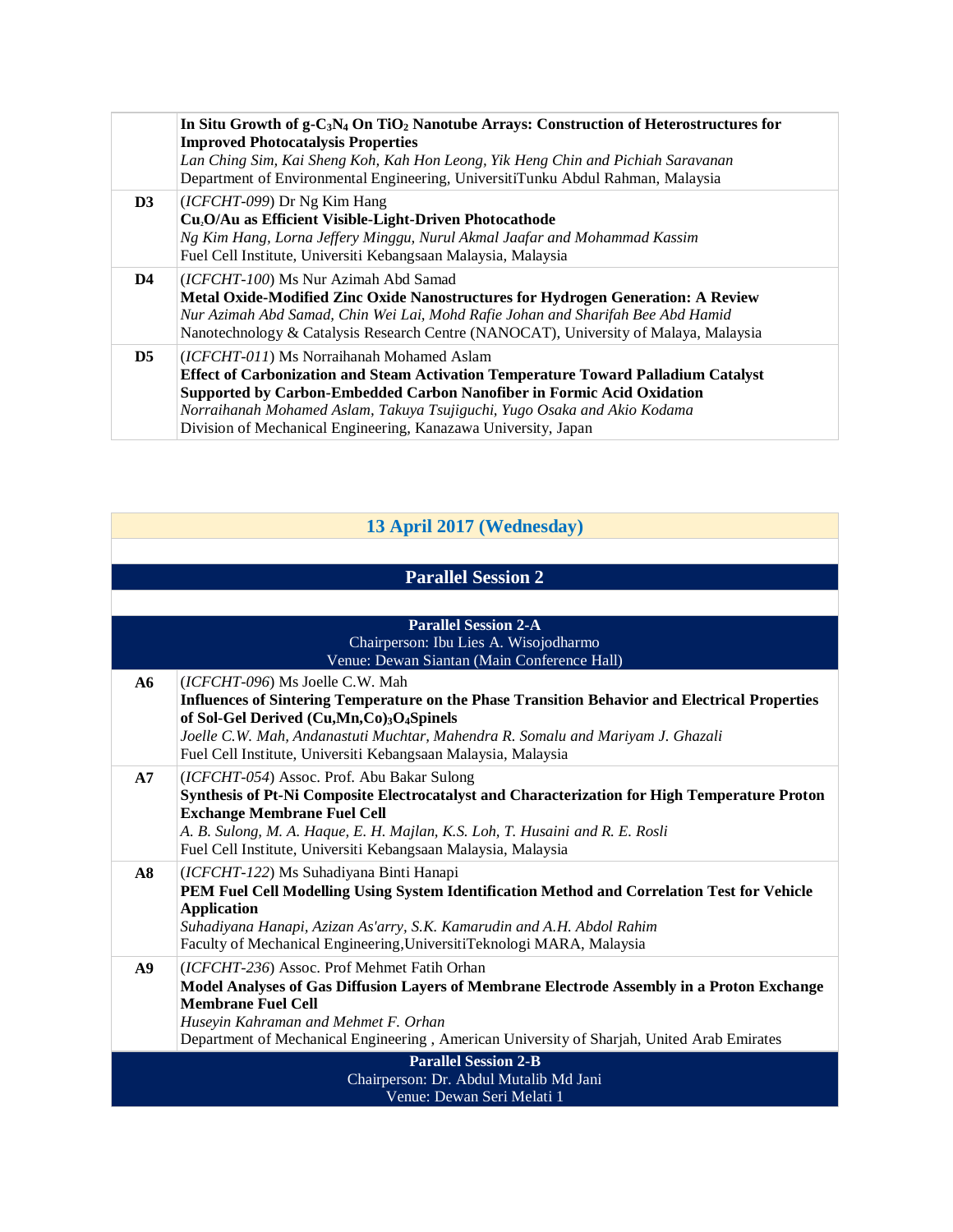|                | In Situ Growth of $g$ -C <sub>3</sub> N <sub>4</sub> On TiO <sub>2</sub> Nanotube Arrays: Construction of Heterostructures for<br><b>Improved Photocatalysis Properties</b><br>Lan Ching Sim, Kai Sheng Koh, Kah Hon Leong, Yik Heng Chin and Pichiah Saravanan<br>Department of Environmental Engineering, UniversitiTunku Abdul Rahman, Malaysia             |
|----------------|----------------------------------------------------------------------------------------------------------------------------------------------------------------------------------------------------------------------------------------------------------------------------------------------------------------------------------------------------------------|
| D3             | (ICFCHT-099) Dr Ng Kim Hang<br>Cu <sub>2</sub> O/Au as Efficient Visible-Light-Driven Photocathode<br>Ng Kim Hang, Lorna Jeffery Minggu, Nurul Akmal Jaafar and Mohammad Kassim<br>Fuel Cell Institute, Universiti Kebangsaan Malaysia, Malaysia                                                                                                               |
| D4             | (ICFCHT-100) Ms Nur Azimah Abd Samad<br>Metal Oxide-Modified Zinc Oxide Nanostructures for Hydrogen Generation: A Review<br>Nur Azimah Abd Samad, Chin Wei Lai, Mohd Rafie Johan and Sharifah Bee Abd Hamid<br>Nanotechnology & Catalysis Research Centre (NANOCAT), University of Malaya, Malaysia                                                            |
| D <sub>5</sub> | (ICFCHT-011) Ms Norraihanah Mohamed Aslam<br><b>Effect of Carbonization and Steam Activation Temperature Toward Palladium Catalyst</b><br>Supported by Carbon-Embedded Carbon Nanofiber in Formic Acid Oxidation<br>Norraihanah Mohamed Aslam, Takuya Tsujiguchi, Yugo Osaka and Akio Kodama<br>Division of Mechanical Engineering, Kanazawa University, Japan |

## **13 April 2017 (Wednesday)**

## **Parallel Session 2**

|    | <b>Parallel Session 2-A</b>                                                                                                                                                                                                                                                                                                         |  |
|----|-------------------------------------------------------------------------------------------------------------------------------------------------------------------------------------------------------------------------------------------------------------------------------------------------------------------------------------|--|
|    | Chairperson: Ibu Lies A. Wisojodharmo                                                                                                                                                                                                                                                                                               |  |
|    | Venue: Dewan Siantan (Main Conference Hall)                                                                                                                                                                                                                                                                                         |  |
| A6 | (ICFCHT-096) Ms Joelle C.W. Mah<br>Influences of Sintering Temperature on the Phase Transition Behavior and Electrical Properties<br>of Sol-Gel Derived (Cu,Mn,Co)3O4Spinels<br>Joelle C.W. Mah, Andanastuti Muchtar, Mahendra R. Somalu and Mariyam J. Ghazali<br>Fuel Cell Institute, Universiti Kebangsaan Malaysia, Malaysia    |  |
| A7 | (ICFCHT-054) Assoc. Prof. Abu Bakar Sulong<br>Synthesis of Pt-Ni Composite Electrocatalyst and Characterization for High Temperature Proton<br><b>Exchange Membrane Fuel Cell</b><br>A. B. Sulong, M. A. Haque, E. H. Majlan, K.S. Loh, T. Husaini and R. E. Rosli<br>Fuel Cell Institute, Universiti Kebangsaan Malaysia, Malaysia |  |
| A8 | (ICFCHT-122) Ms Suhadiyana Binti Hanapi<br>PEM Fuel Cell Modelling Using System Identification Method and Correlation Test for Vehicle<br><b>Application</b><br>Suhadiyana Hanapi, Azizan As'arry, S.K. Kamarudin and A.H. Abdol Rahim<br>Faculty of Mechanical Engineering, UniversitiTeknologi MARA, Malaysia                     |  |
| A9 | ( <i>ICFCHT-236</i> ) Assoc. Prof Mehmet Fatih Orhan<br>Model Analyses of Gas Diffusion Layers of Membrane Electrode Assembly in a Proton Exchange<br><b>Membrane Fuel Cell</b><br>Husevin Kahraman and Mehmet F. Orhan<br>Department of Mechanical Engineering, American University of Sharjah, United Arab Emirates               |  |
|    | <b>Parallel Session 2-B</b><br>Chairperson: Dr. Abdul Mutalib Md Jani<br>Venue: Dewan Seri Melati 1                                                                                                                                                                                                                                 |  |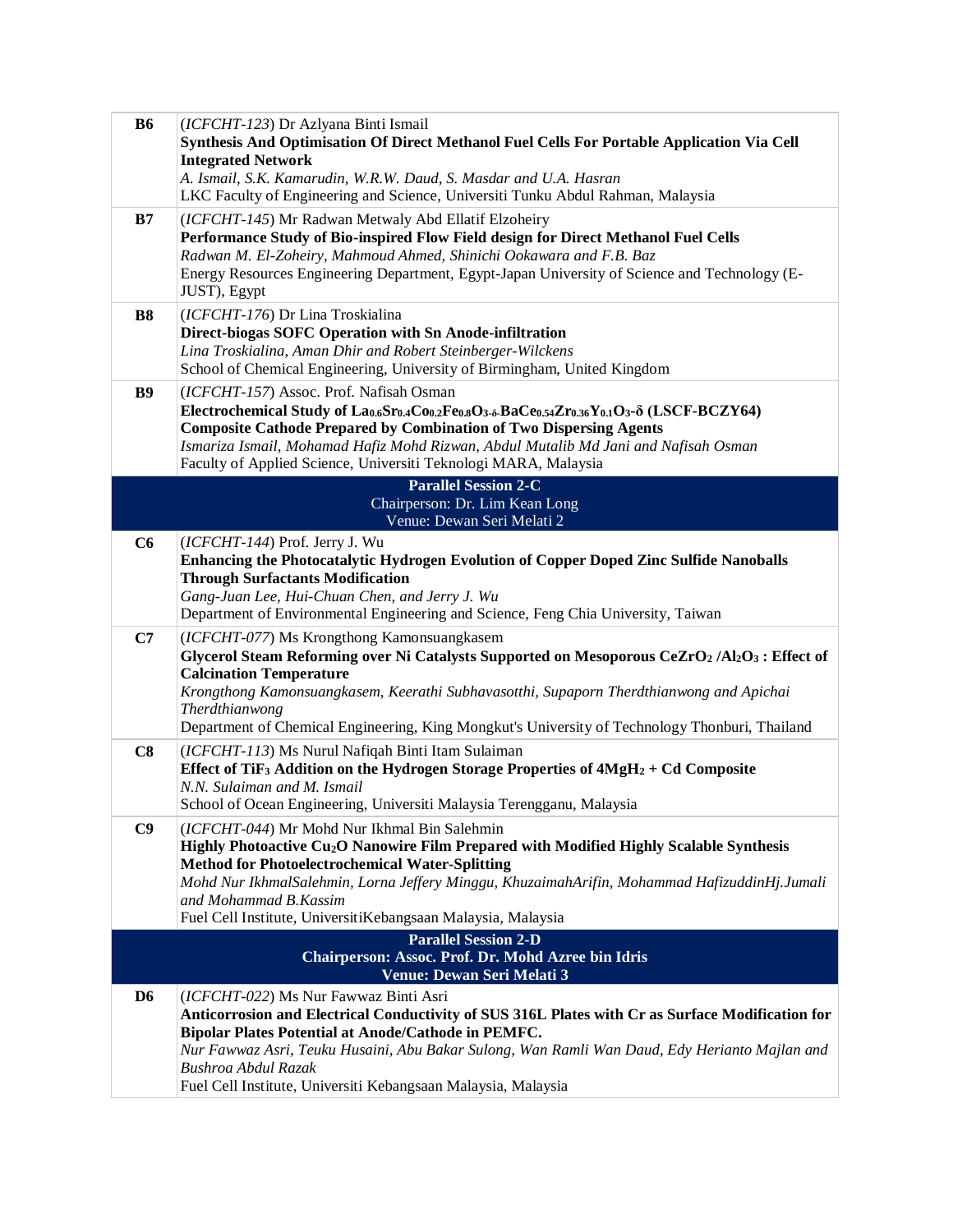| <b>B6</b>      | (ICFCHT-123) Dr Azlyana Binti Ismail<br>Synthesis And Optimisation Of Direct Methanol Fuel Cells For Portable Application Via Cell                                  |
|----------------|---------------------------------------------------------------------------------------------------------------------------------------------------------------------|
|                | <b>Integrated Network</b>                                                                                                                                           |
|                | A. Ismail, S.K. Kamarudin, W.R.W. Daud, S. Masdar and U.A. Hasran<br>LKC Faculty of Engineering and Science, Universiti Tunku Abdul Rahman, Malaysia                |
|                |                                                                                                                                                                     |
| B7             | (ICFCHT-145) Mr Radwan Metwaly Abd Ellatif Elzoheiry<br>Performance Study of Bio-inspired Flow Field design for Direct Methanol Fuel Cells                          |
|                | Radwan M. El-Zoheiry, Mahmoud Ahmed, Shinichi Ookawara and F.B. Baz                                                                                                 |
|                | Energy Resources Engineering Department, Egypt-Japan University of Science and Technology (E-                                                                       |
|                | JUST), Egypt                                                                                                                                                        |
| <b>B8</b>      | (ICFCHT-176) Dr Lina Troskialina<br>Direct-biogas SOFC Operation with Sn Anode-infiltration                                                                         |
|                | Lina Troskialina, Aman Dhir and Robert Steinberger-Wilckens                                                                                                         |
|                | School of Chemical Engineering, University of Birmingham, United Kingdom                                                                                            |
| <b>B9</b>      | (ICFCHT-157) Assoc. Prof. Nafisah Osman                                                                                                                             |
|                | Electrochemical Study of Lao.sSro.4Coo.2Feo.sO3-5-BaCeo.54Zro.36Yo.1O3-8 (LSCF-BCZY64)<br><b>Composite Cathode Prepared by Combination of Two Dispersing Agents</b> |
|                | Ismariza Ismail, Mohamad Hafiz Mohd Rizwan, Abdul Mutalib Md Jani and Nafisah Osman                                                                                 |
|                | Faculty of Applied Science, Universiti Teknologi MARA, Malaysia                                                                                                     |
|                | <b>Parallel Session 2-C</b>                                                                                                                                         |
|                | Chairperson: Dr. Lim Kean Long<br>Venue: Dewan Seri Melati 2                                                                                                        |
| C6             | (ICFCHT-144) Prof. Jerry J. Wu                                                                                                                                      |
|                | Enhancing the Photocatalytic Hydrogen Evolution of Copper Doped Zinc Sulfide Nanoballs                                                                              |
|                | <b>Through Surfactants Modification</b>                                                                                                                             |
|                | Gang-Juan Lee, Hui-Chuan Chen, and Jerry J. Wu<br>Department of Environmental Engineering and Science, Feng Chia University, Taiwan                                 |
| C7             | (ICFCHT-077) Ms Krongthong Kamonsuangkasem                                                                                                                          |
|                | Glycerol Steam Reforming over Ni Catalysts Supported on Mesoporous CeZrO2 /Al2O3 : Effect of                                                                        |
|                | <b>Calcination Temperature</b>                                                                                                                                      |
|                | Krongthong Kamonsuangkasem, Keerathi Subhavasotthi, Supaporn Therdthianwong and Apichai<br>Therdthianwong                                                           |
|                | Department of Chemical Engineering, King Mongkut's University of Technology Thonburi, Thailand                                                                      |
| C8             | (ICFCHT-113) Ms Nurul Nafiqah Binti Itam Sulaiman                                                                                                                   |
|                | Effect of TiF <sub>3</sub> Addition on the Hydrogen Storage Properties of $4MgH_2 + Cd$ Composite                                                                   |
|                | N.N. Sulaiman and M. Ismail<br>School of Ocean Engineering, Universiti Malaysia Terengganu, Malaysia                                                                |
| C9             | (ICFCHT-044) Mr Mohd Nur Ikhmal Bin Salehmin                                                                                                                        |
|                | Highly Photoactive Cu <sub>2</sub> O Nanowire Film Prepared with Modified Highly Scalable Synthesis                                                                 |
|                | <b>Method for Photoelectrochemical Water-Splitting</b>                                                                                                              |
|                | Mohd Nur IkhmalSalehmin, Lorna Jeffery Minggu, KhuzaimahArifin, Mohammad HafizuddinHj.Jumali<br>and Mohammad B.Kassim                                               |
|                | Fuel Cell Institute, UniversitiKebangsaan Malaysia, Malaysia                                                                                                        |
|                | <b>Parallel Session 2-D</b>                                                                                                                                         |
|                | Chairperson: Assoc. Prof. Dr. Mohd Azree bin Idris<br>Venue: Dewan Seri Melati 3                                                                                    |
| D <sub>6</sub> | (ICFCHT-022) Ms Nur Fawwaz Binti Asri                                                                                                                               |
|                | Anticorrosion and Electrical Conductivity of SUS 316L Plates with Cr as Surface Modification for                                                                    |
|                | Bipolar Plates Potential at Anode/Cathode in PEMFC.                                                                                                                 |
|                | Nur Fawwaz Asri, Teuku Husaini, Abu Bakar Sulong, Wan Ramli Wan Daud, Edy Herianto Majlan and<br>Bushroa Abdul Razak                                                |
|                | Fuel Cell Institute, Universiti Kebangsaan Malaysia, Malaysia                                                                                                       |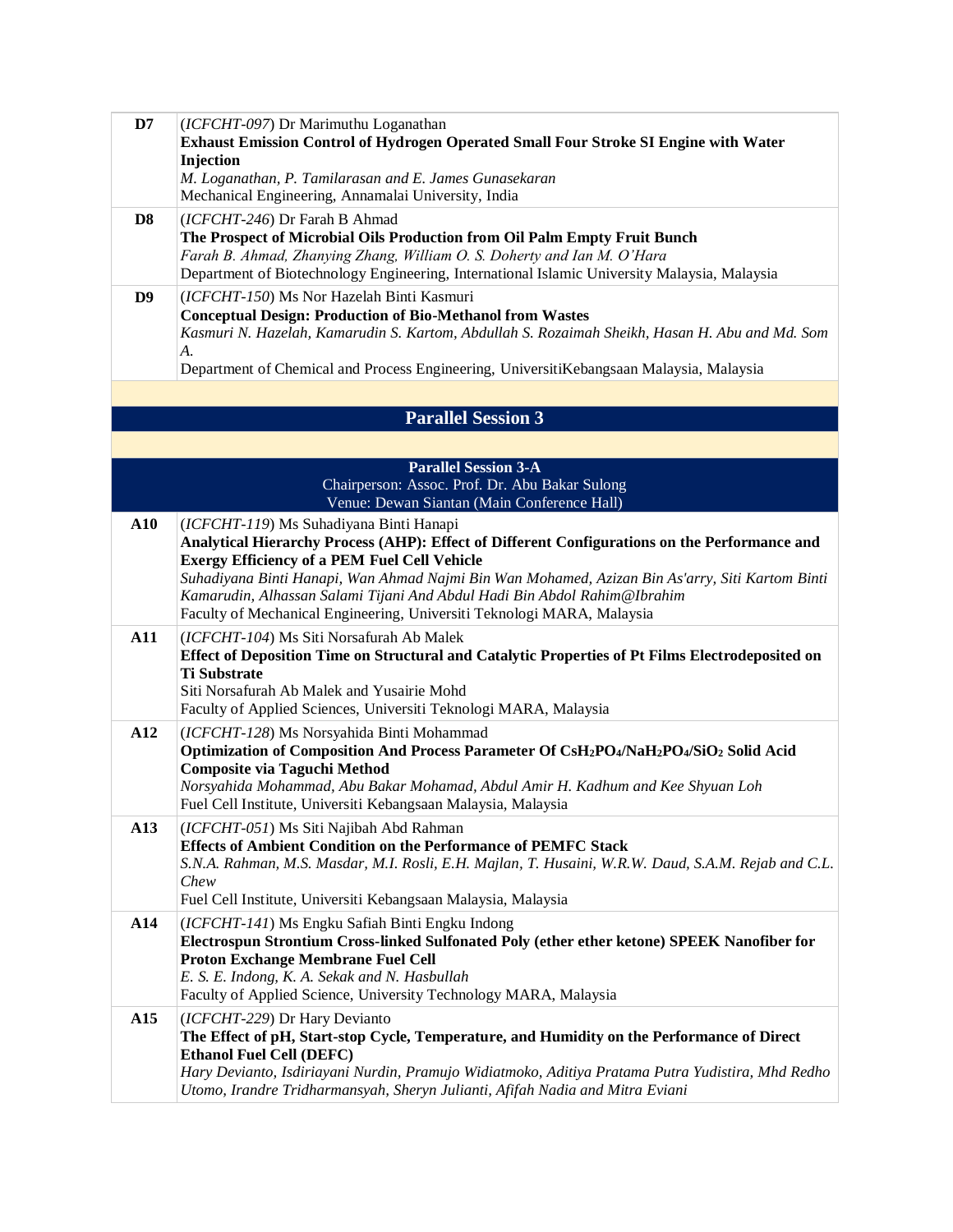| D7              | (ICFCHT-097) Dr Marimuthu Loganathan<br>Exhaust Emission Control of Hydrogen Operated Small Four Stroke SI Engine with Water<br>Injection<br>M. Loganathan, P. Tamilarasan and E. James Gunasekaran<br>Mechanical Engineering, Annamalai University, India                                                                                                                                                                                               |
|-----------------|----------------------------------------------------------------------------------------------------------------------------------------------------------------------------------------------------------------------------------------------------------------------------------------------------------------------------------------------------------------------------------------------------------------------------------------------------------|
| D <sub>8</sub>  | (ICFCHT-246) Dr Farah B Ahmad<br>The Prospect of Microbial Oils Production from Oil Palm Empty Fruit Bunch<br>Farah B. Ahmad, Zhanying Zhang, William O. S. Doherty and Ian M. O'Hara<br>Department of Biotechnology Engineering, International Islamic University Malaysia, Malaysia                                                                                                                                                                    |
| D <sub>9</sub>  | (ICFCHT-150) Ms Nor Hazelah Binti Kasmuri<br><b>Conceptual Design: Production of Bio-Methanol from Wastes</b><br>Kasmuri N. Hazelah, Kamarudin S. Kartom, Abdullah S. Rozaimah Sheikh, Hasan H. Abu and Md. Som<br>A.<br>Department of Chemical and Process Engineering, UniversitiKebangsaan Malaysia, Malaysia                                                                                                                                         |
|                 | <b>Parallel Session 3</b>                                                                                                                                                                                                                                                                                                                                                                                                                                |
|                 | <b>Parallel Session 3-A</b><br>Chairperson: Assoc. Prof. Dr. Abu Bakar Sulong<br>Venue: Dewan Siantan (Main Conference Hall)                                                                                                                                                                                                                                                                                                                             |
| A10             | (ICFCHT-119) Ms Suhadiyana Binti Hanapi<br>Analytical Hierarchy Process (AHP): Effect of Different Configurations on the Performance and<br><b>Exergy Efficiency of a PEM Fuel Cell Vehicle</b><br>Suhadiyana Binti Hanapi, Wan Ahmad Najmi Bin Wan Mohamed, Azizan Bin As'arry, Siti Kartom Binti<br>Kamarudin, Alhassan Salami Tijani And Abdul Hadi Bin Abdol Rahim@Ibrahim<br>Faculty of Mechanical Engineering, Universiti Teknologi MARA, Malaysia |
| A11             | (ICFCHT-104) Ms Siti Norsafurah Ab Malek<br>Effect of Deposition Time on Structural and Catalytic Properties of Pt Films Electrodeposited on<br><b>Ti Substrate</b><br>Siti Norsafurah Ab Malek and Yusairie Mohd<br>Faculty of Applied Sciences, Universiti Teknologi MARA, Malaysia                                                                                                                                                                    |
| A12             | (ICFCHT-128) Ms Norsyahida Binti Mohammad<br>Optimization of Composition And Process Parameter Of CsH2PO4/NaH2PO4/SiO2 Solid Acid<br><b>Composite via Taguchi Method</b><br>Norsyahida Mohammad, Abu Bakar Mohamad, Abdul Amir H. Kadhum and Kee Shyuan Loh<br>Fuel Cell Institute, Universiti Kebangsaan Malaysia, Malaysia                                                                                                                             |
| A13             | (ICFCHT-051) Ms Siti Najibah Abd Rahman<br><b>Effects of Ambient Condition on the Performance of PEMFC Stack</b><br>S.N.A. Rahman, M.S. Masdar, M.I. Rosli, E.H. Majlan, T. Husaini, W.R.W. Daud, S.A.M. Rejab and C.L.<br>Chew<br>Fuel Cell Institute, Universiti Kebangsaan Malaysia, Malaysia                                                                                                                                                         |
| A14             | (ICFCHT-141) Ms Engku Safiah Binti Engku Indong<br>Electrospun Strontium Cross-linked Sulfonated Poly (ether ether ketone) SPEEK Nanofiber for<br>Proton Exchange Membrane Fuel Cell<br>E. S. E. Indong, K. A. Sekak and N. Hasbullah<br>Faculty of Applied Science, University Technology MARA, Malaysia                                                                                                                                                |
| A <sub>15</sub> | (ICFCHT-229) Dr Hary Devianto<br>The Effect of pH, Start-stop Cycle, Temperature, and Humidity on the Performance of Direct<br><b>Ethanol Fuel Cell (DEFC)</b><br>Hary Devianto, Isdiriayani Nurdin, Pramujo Widiatmoko, Aditiya Pratama Putra Yudistira, Mhd Redho<br>Utomo, Irandre Tridharmansyah, Sheryn Julianti, Afifah Nadia and Mitra Eviani                                                                                                     |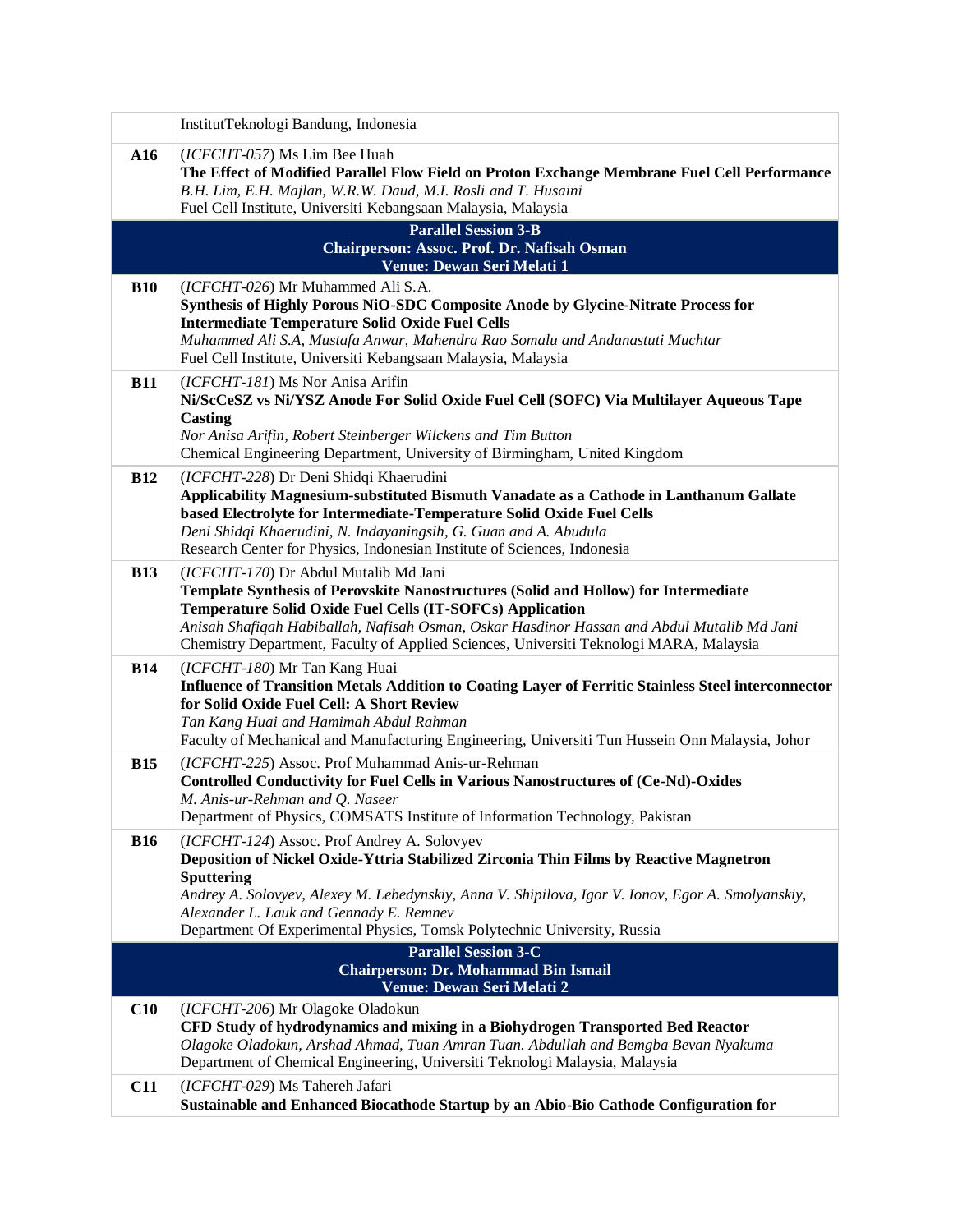|            | InstitutTeknologi Bandung, Indonesia                                                                                                                                                                                                                                                                                                                                                   |
|------------|----------------------------------------------------------------------------------------------------------------------------------------------------------------------------------------------------------------------------------------------------------------------------------------------------------------------------------------------------------------------------------------|
| A16        | (ICFCHT-057) Ms Lim Bee Huah<br>The Effect of Modified Parallel Flow Field on Proton Exchange Membrane Fuel Cell Performance<br>B.H. Lim, E.H. Majlan, W.R.W. Daud, M.I. Rosli and T. Husaini<br>Fuel Cell Institute, Universiti Kebangsaan Malaysia, Malaysia                                                                                                                         |
|            | <b>Parallel Session 3-B</b>                                                                                                                                                                                                                                                                                                                                                            |
|            | Chairperson: Assoc. Prof. Dr. Nafisah Osman<br>Venue: Dewan Seri Melati 1                                                                                                                                                                                                                                                                                                              |
| <b>B10</b> | (ICFCHT-026) Mr Muhammed Ali S.A.<br>Synthesis of Highly Porous NiO-SDC Composite Anode by Glycine-Nitrate Process for<br><b>Intermediate Temperature Solid Oxide Fuel Cells</b><br>Muhammed Ali S.A, Mustafa Anwar, Mahendra Rao Somalu and Andanastuti Muchtar<br>Fuel Cell Institute, Universiti Kebangsaan Malaysia, Malaysia                                                      |
| <b>B11</b> | (ICFCHT-181) Ms Nor Anisa Arifin<br>Ni/ScCeSZ vs Ni/YSZ Anode For Solid Oxide Fuel Cell (SOFC) Via Multilayer Aqueous Tape<br>Casting<br>Nor Anisa Arifin, Robert Steinberger Wilckens and Tim Button<br>Chemical Engineering Department, University of Birmingham, United Kingdom                                                                                                     |
| <b>B12</b> | (ICFCHT-228) Dr Deni Shidqi Khaerudini<br>Applicability Magnesium-substituted Bismuth Vanadate as a Cathode in Lanthanum Gallate<br>based Electrolyte for Intermediate-Temperature Solid Oxide Fuel Cells<br>Deni Shidqi Khaerudini, N. Indayaningsih, G. Guan and A. Abudula<br>Research Center for Physics, Indonesian Institute of Sciences, Indonesia                              |
| <b>B13</b> | (ICFCHT-170) Dr Abdul Mutalib Md Jani<br>Template Synthesis of Perovskite Nanostructures (Solid and Hollow) for Intermediate<br>Temperature Solid Oxide Fuel Cells (IT-SOFCs) Application<br>Anisah Shafiqah Habiballah, Nafisah Osman, Oskar Hasdinor Hassan and Abdul Mutalib Md Jani<br>Chemistry Department, Faculty of Applied Sciences, Universiti Teknologi MARA, Malaysia      |
| <b>B14</b> | (ICFCHT-180) Mr Tan Kang Huai<br><b>Influence of Transition Metals Addition to Coating Layer of Ferritic Stainless Steel interconnector</b><br>for Solid Oxide Fuel Cell: A Short Review<br>Tan Kang Huai and Hamimah Abdul Rahman<br>Faculty of Mechanical and Manufacturing Engineering, Universiti Tun Hussein Onn Malaysia, Johor                                                  |
| <b>B15</b> | (ICFCHT-225) Assoc. Prof Muhammad Anis-ur-Rehman<br><b>Controlled Conductivity for Fuel Cells in Various Nanostructures of (Ce-Nd)-Oxides</b><br>M. Anis-ur-Rehman and Q. Naseer<br>Department of Physics, COMSATS Institute of Information Technology, Pakistan                                                                                                                       |
| <b>B16</b> | (ICFCHT-124) Assoc. Prof Andrey A. Solovyev<br>Deposition of Nickel Oxide-Yttria Stabilized Zirconia Thin Films by Reactive Magnetron<br><b>Sputtering</b><br>Andrey A. Solovyev, Alexey M. Lebedynskiy, Anna V. Shipilova, Igor V. Ionov, Egor A. Smolyanskiy,<br>Alexander L. Lauk and Gennady E. Remnev<br>Department Of Experimental Physics, Tomsk Polytechnic University, Russia |
|            | <b>Parallel Session 3-C</b><br><b>Chairperson: Dr. Mohammad Bin Ismail</b><br>Venue: Dewan Seri Melati 2                                                                                                                                                                                                                                                                               |
| C10        | (ICFCHT-206) Mr Olagoke Oladokun<br>CFD Study of hydrodynamics and mixing in a Biohydrogen Transported Bed Reactor<br>Olagoke Oladokun, Arshad Ahmad, Tuan Amran Tuan. Abdullah and Bemgba Bevan Nyakuma<br>Department of Chemical Engineering, Universiti Teknologi Malaysia, Malaysia                                                                                                |
| <b>C11</b> | (ICFCHT-029) Ms Tahereh Jafari<br>Sustainable and Enhanced Biocathode Startup by an Abio-Bio Cathode Configuration for                                                                                                                                                                                                                                                                 |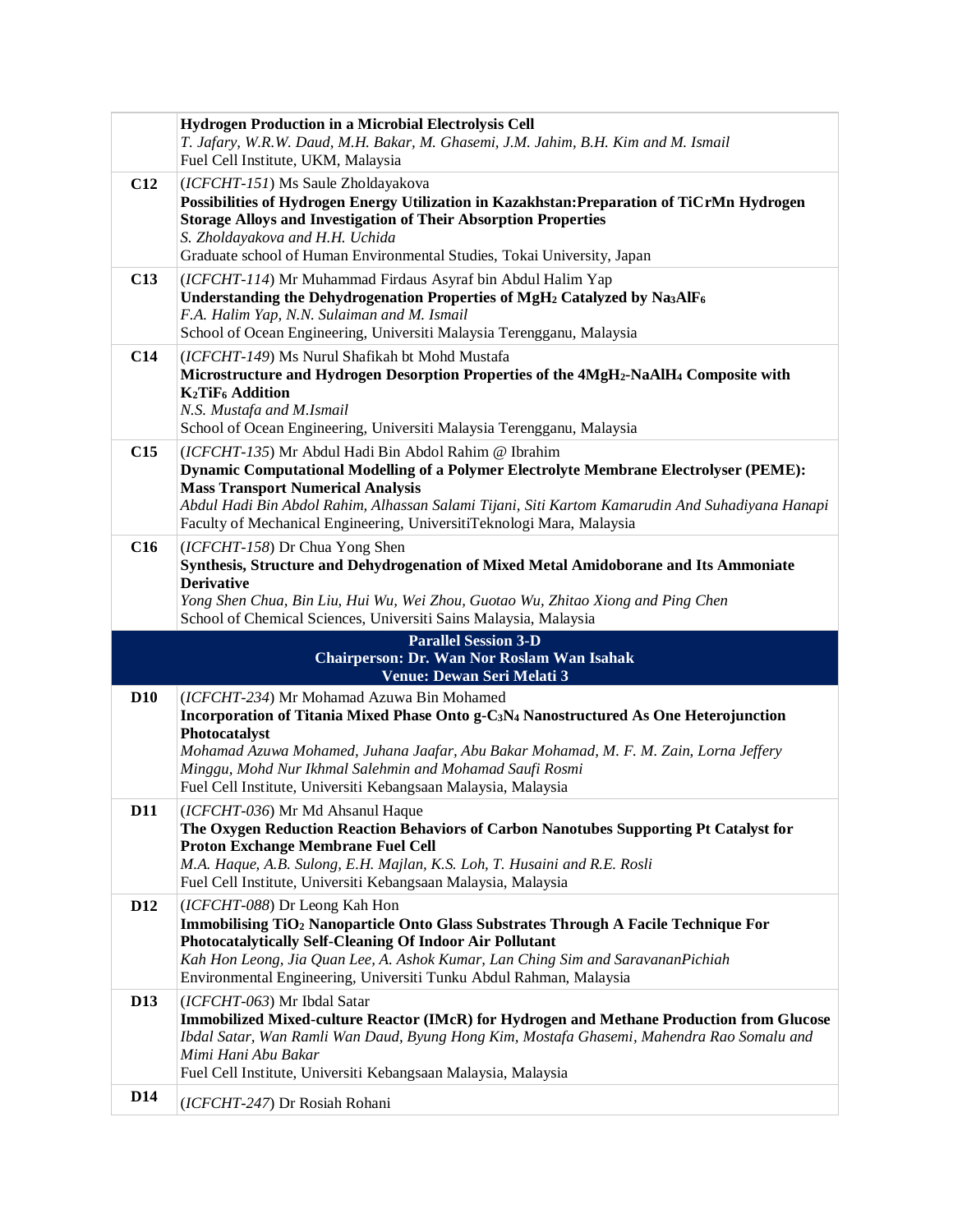|                 | <b>Hydrogen Production in a Microbial Electrolysis Cell</b><br>T. Jafary, W.R.W. Daud, M.H. Bakar, M. Ghasemi, J.M. Jahim, B.H. Kim and M. Ismail<br>Fuel Cell Institute, UKM, Malaysia                                                                                                                                                                                       |
|-----------------|-------------------------------------------------------------------------------------------------------------------------------------------------------------------------------------------------------------------------------------------------------------------------------------------------------------------------------------------------------------------------------|
| C12             | (ICFCHT-151) Ms Saule Zholdayakova<br>Possibilities of Hydrogen Energy Utilization in Kazakhstan: Preparation of TiCrMn Hydrogen<br><b>Storage Alloys and Investigation of Their Absorption Properties</b><br>S. Zholdayakova and H.H. Uchida<br>Graduate school of Human Environmental Studies, Tokai University, Japan                                                      |
| C13             | (ICFCHT-114) Mr Muhammad Firdaus Asyraf bin Abdul Halim Yap<br>Understanding the Dehydrogenation Properties of MgH <sub>2</sub> Catalyzed by Na3AlF <sub>6</sub><br>F.A. Halim Yap, N.N. Sulaiman and M. Ismail<br>School of Ocean Engineering, Universiti Malaysia Terengganu, Malaysia                                                                                      |
| C14             | (ICFCHT-149) Ms Nurul Shafikah bt Mohd Mustafa<br>Microstructure and Hydrogen Desorption Properties of the 4MgH <sub>2</sub> -NaAlH <sub>4</sub> Composite with<br><b>K2TiF<sub>6</sub></b> Addition<br>N.S. Mustafa and M.Ismail<br>School of Ocean Engineering, Universiti Malaysia Terengganu, Malaysia                                                                    |
| C15             | (ICFCHT-135) Mr Abdul Hadi Bin Abdol Rahim @ Ibrahim<br><b>Dynamic Computational Modelling of a Polymer Electrolyte Membrane Electrolyser (PEME):</b><br><b>Mass Transport Numerical Analysis</b><br>Abdul Hadi Bin Abdol Rahim, Alhassan Salami Tijani, Siti Kartom Kamarudin And Suhadiyana Hanapi<br>Faculty of Mechanical Engineering, UniversitiTeknologi Mara, Malaysia |
| C16             | (ICFCHT-158) Dr Chua Yong Shen<br>Synthesis, Structure and Dehydrogenation of Mixed Metal Amidoborane and Its Ammoniate<br><b>Derivative</b><br>Yong Shen Chua, Bin Liu, Hui Wu, Wei Zhou, Guotao Wu, Zhitao Xiong and Ping Chen<br>School of Chemical Sciences, Universiti Sains Malaysia, Malaysia                                                                          |
|                 | <b>Parallel Session 3-D</b><br><b>Chairperson: Dr. Wan Nor Roslam Wan Isahak</b>                                                                                                                                                                                                                                                                                              |
|                 | Venue: Dewan Seri Melati 3                                                                                                                                                                                                                                                                                                                                                    |
| <b>D10</b>      | (ICFCHT-234) Mr Mohamad Azuwa Bin Mohamed<br>Incorporation of Titania Mixed Phase Onto g-C <sub>3</sub> N <sub>4</sub> Nanostructured As One Heterojunction                                                                                                                                                                                                                   |
|                 | Photocatalyst                                                                                                                                                                                                                                                                                                                                                                 |
|                 | Mohamad Azuwa Mohamed, Juhana Jaafar, Abu Bakar Mohamad, M. F. M. Zain, Lorna Jeffery<br>Minggu, Mohd Nur Ikhmal Salehmin and Mohamad Saufi Rosmi                                                                                                                                                                                                                             |
|                 | Fuel Cell Institute, Universiti Kebangsaan Malaysia, Malaysia                                                                                                                                                                                                                                                                                                                 |
| D11             | (ICFCHT-036) Mr Md Ahsanul Haque<br>The Oxygen Reduction Reaction Behaviors of Carbon Nanotubes Supporting Pt Catalyst for<br>Proton Exchange Membrane Fuel Cell<br>M.A. Haque, A.B. Sulong, E.H. Majlan, K.S. Loh, T. Husaini and R.E. Rosli<br>Fuel Cell Institute, Universiti Kebangsaan Malaysia, Malaysia                                                                |
| D <sub>12</sub> | (ICFCHT-088) Dr Leong Kah Hon<br>Immobilising TiO <sub>2</sub> Nanoparticle Onto Glass Substrates Through A Facile Technique For<br>Photocatalytically Self-Cleaning Of Indoor Air Pollutant<br>Kah Hon Leong, Jia Quan Lee, A. Ashok Kumar, Lan Ching Sim and SaravananPichiah<br>Environmental Engineering, Universiti Tunku Abdul Rahman, Malaysia                         |
| <b>D13</b>      | (ICFCHT-063) Mr Ibdal Satar<br>Immobilized Mixed-culture Reactor (IMcR) for Hydrogen and Methane Production from Glucose<br>Ibdal Satar, Wan Ramli Wan Daud, Byung Hong Kim, Mostafa Ghasemi, Mahendra Rao Somalu and<br>Mimi Hani Abu Bakar<br>Fuel Cell Institute, Universiti Kebangsaan Malaysia, Malaysia                                                                 |